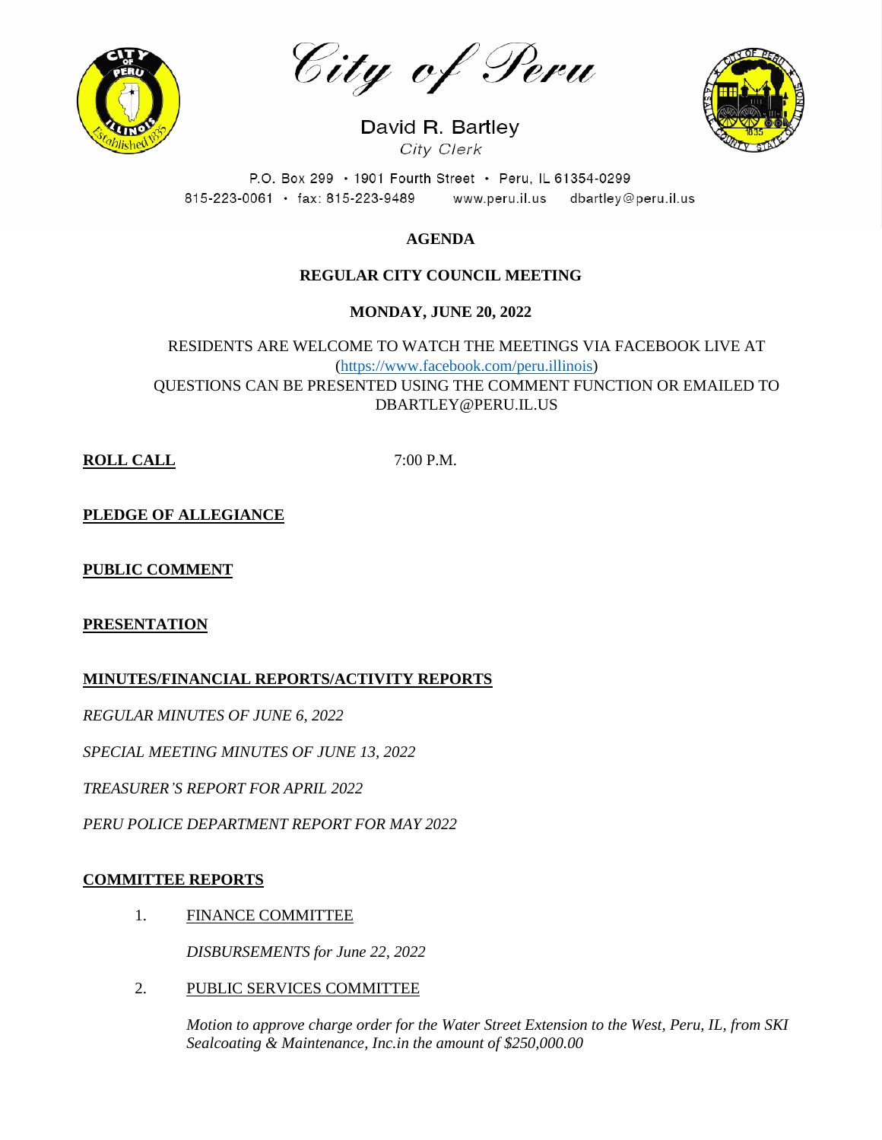

City of Peru

David R. Bartley City Clerk



P.O. Box 299 · 1901 Fourth Street · Peru, IL 61354-0299 815-223-0061 · fax: 815-223-9489 www.peru.il.us dbartley@peru.il.us

# **AGENDA**

# **REGULAR CITY COUNCIL MEETING**

# **MONDAY, JUNE 20, 2022**

RESIDENTS ARE WELCOME TO WATCH THE MEETINGS VIA FACEBOOK LIVE AT [\(https://www.facebook.com/peru.illinois\)](https://www.facebook.com/peru.illinois) QUESTIONS CAN BE PRESENTED USING THE COMMENT FUNCTION OR EMAILED TO DBARTLEY@PERU.IL.US

**ROLL CALL** 7:00 P.M.

**PLEDGE OF ALLEGIANCE**

### **PUBLIC COMMENT**

### **PRESENTATION**

**MINUTES/FINANCIAL REPORTS/ACTIVITY REPORTS**

*REGULAR MINUTES OF JUNE 6, 2022*

*SPECIAL MEETING MINUTES OF JUNE 13, 2022*

*TREASURER'S REPORT FOR APRIL 2022*

*PERU POLICE DEPARTMENT REPORT FOR MAY 2022*

### **COMMITTEE REPORTS**

1. FINANCE COMMITTEE

*DISBURSEMENTS for June 22, 2022*

2. PUBLIC SERVICES COMMITTEE

*Motion to approve charge order for the Water Street Extension to the West, Peru, IL, from SKI Sealcoating & Maintenance, Inc.in the amount of \$250,000.00*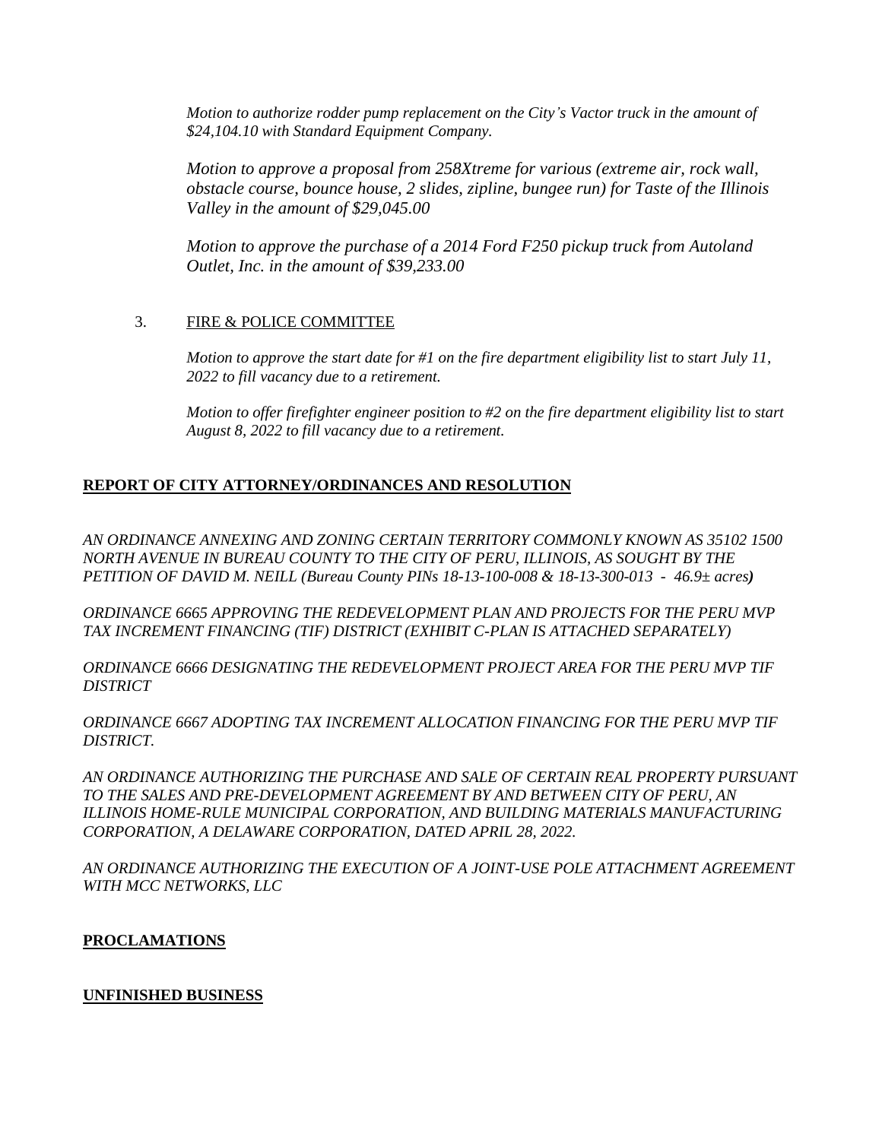*Motion to authorize rodder pump replacement on the City's Vactor truck in the amount of \$24,104.10 with Standard Equipment Company.*

*Motion to approve a proposal from 258Xtreme for various (extreme air, rock wall, obstacle course, bounce house, 2 slides, zipline, bungee run) for Taste of the Illinois Valley in the amount of \$29,045.00*

*Motion to approve the purchase of a 2014 Ford F250 pickup truck from Autoland Outlet, Inc. in the amount of \$39,233.00*

### 3. FIRE & POLICE COMMITTEE

*Motion to approve the start date for #1 on the fire department eligibility list to start July 11, 2022 to fill vacancy due to a retirement.*

*Motion to offer firefighter engineer position to #2 on the fire department eligibility list to start August 8, 2022 to fill vacancy due to a retirement.*

### **REPORT OF CITY ATTORNEY/ORDINANCES AND RESOLUTION**

*AN ORDINANCE ANNEXING AND ZONING CERTAIN TERRITORY COMMONLY KNOWN AS 35102 1500 NORTH AVENUE IN BUREAU COUNTY TO THE CITY OF PERU, ILLINOIS, AS SOUGHT BY THE PETITION OF DAVID M. NEILL (Bureau County PINs 18-13-100-008 & 18-13-300-013 - 46.9± acres)*

*ORDINANCE 6665 APPROVING THE REDEVELOPMENT PLAN AND PROJECTS FOR THE PERU MVP TAX INCREMENT FINANCING (TIF) DISTRICT (EXHIBIT C-PLAN IS ATTACHED SEPARATELY)*

*ORDINANCE 6666 DESIGNATING THE REDEVELOPMENT PROJECT AREA FOR THE PERU MVP TIF DISTRICT*

*ORDINANCE 6667 ADOPTING TAX INCREMENT ALLOCATION FINANCING FOR THE PERU MVP TIF DISTRICT.*

*AN ORDINANCE AUTHORIZING THE PURCHASE AND SALE OF CERTAIN REAL PROPERTY PURSUANT TO THE SALES AND PRE-DEVELOPMENT AGREEMENT BY AND BETWEEN CITY OF PERU, AN ILLINOIS HOME-RULE MUNICIPAL CORPORATION, AND BUILDING MATERIALS MANUFACTURING CORPORATION, A DELAWARE CORPORATION, DATED APRIL 28, 2022.*

*AN ORDINANCE AUTHORIZING THE EXECUTION OF A JOINT-USE POLE ATTACHMENT AGREEMENT WITH MCC NETWORKS, LLC*

#### **PROCLAMATIONS**

#### **UNFINISHED BUSINESS**